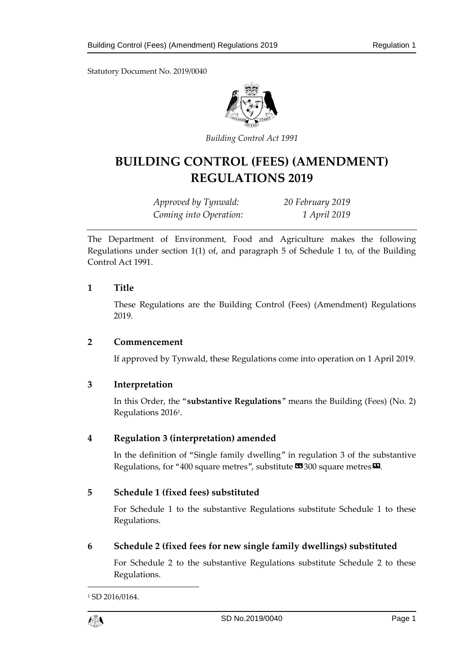Statutory Document No. 2019/0040



*Building Control Act 1991*

# **BUILDING CONTROL (FEES) (AMENDMENT) REGULATIONS 2019**

*Approved by Tynwald: 20 February 2019 Coming into Operation: 1 April 2019*

The Department of Environment, Food and Agriculture makes the following Regulations under section 1(1) of, and paragraph 5 of Schedule 1 to, of the Building Control Act 1991.

#### **1 Title**

These Regulations are the Building Control (Fees) (Amendment) Regulations 2019.

# **2 Commencement**

If approved by Tynwald, these Regulations come into operation on 1 April 2019.

# **3 Interpretation**

In this Order, the "**substantive Regulations**" means the Building (Fees) (No. 2) Regulations 2016<sup>1</sup> .

# **4 Regulation 3 (interpretation) amended**

In the definition of "Single family dwelling" in regulation 3 of the substantive Regulations, for "400 square metres", substitute  $\mathbf{\Omega}$  300 square metres  $\mathbf{\Omega}$ .

# **5 Schedule 1 (fixed fees) substituted**

For Schedule 1 to the substantive Regulations substitute Schedule 1 to these Regulations.

**6 Schedule 2 (fixed fees for new single family dwellings) substituted**

For Schedule 2 to the substantive Regulations substitute Schedule 2 to these Regulations.

<sup>&</sup>lt;sup>1</sup> SD 2016/0164.



1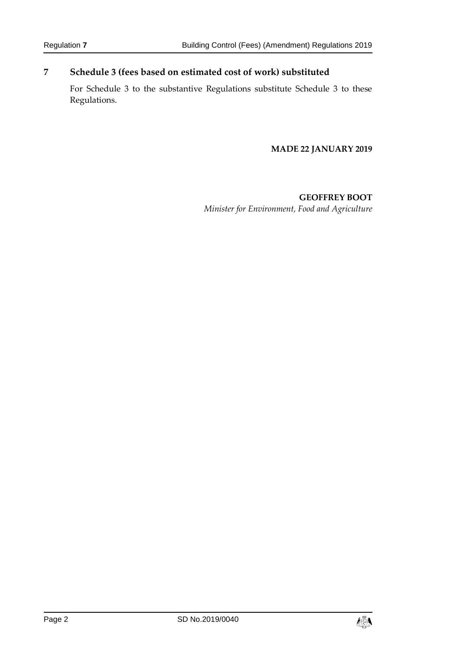# **7 Schedule 3 (fees based on estimated cost of work) substituted**

For Schedule 3 to the substantive Regulations substitute Schedule 3 to these Regulations.

#### **MADE 22 JANUARY 2019**

**GEOFFREY BOOT** *Minister for Environment, Food and Agriculture*

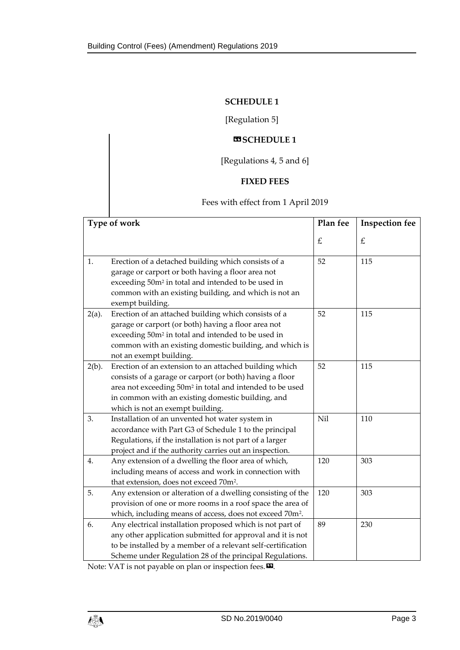#### **SCHEDULE 1**

[Regulation 5]

# $\n **MSCHEDULE1**\n$

[Regulations 4, 5 and 6]

#### **FIXED FEES**

# Fees with effect from 1 April 2019

| Type of work |                                                                                                                                                                                                                                                                                     | Plan fee | <b>Inspection fee</b> |
|--------------|-------------------------------------------------------------------------------------------------------------------------------------------------------------------------------------------------------------------------------------------------------------------------------------|----------|-----------------------|
|              |                                                                                                                                                                                                                                                                                     | £        | $\pounds$             |
| 1.           | Erection of a detached building which consists of a<br>garage or carport or both having a floor area not<br>exceeding 50m <sup>2</sup> in total and intended to be used in<br>common with an existing building, and which is not an<br>exempt building.                             | 52       | 115                   |
| $2(a)$ .     | Erection of an attached building which consists of a<br>garage or carport (or both) having a floor area not<br>exceeding 50m <sup>2</sup> in total and intended to be used in<br>common with an existing domestic building, and which is<br>not an exempt building.                 | 52       | 115                   |
| $2(b)$ .     | Erection of an extension to an attached building which<br>consists of a garage or carport (or both) having a floor<br>area not exceeding 50m <sup>2</sup> in total and intended to be used<br>in common with an existing domestic building, and<br>which is not an exempt building. | 52       | 115                   |
| 3.           | Installation of an unvented hot water system in<br>accordance with Part G3 of Schedule 1 to the principal<br>Regulations, if the installation is not part of a larger<br>project and if the authority carries out an inspection.                                                    | Nil      | 110                   |
| 4.           | Any extension of a dwelling the floor area of which,<br>including means of access and work in connection with<br>that extension, does not exceed 70m <sup>2</sup> .                                                                                                                 | 120      | 303                   |
| 5.           | Any extension or alteration of a dwelling consisting of the<br>provision of one or more rooms in a roof space the area of<br>which, including means of access, does not exceed 70m <sup>2</sup> .                                                                                   | 120      | 303                   |
| 6.           | Any electrical installation proposed which is not part of<br>any other application submitted for approval and it is not<br>to be installed by a member of a relevant self-certification<br>Scheme under Regulation 28 of the principal Regulations.                                 | 89       | 230                   |

Note: VAT is not payable on plan or inspection fees.  $\boldsymbol{\Xi}$ .

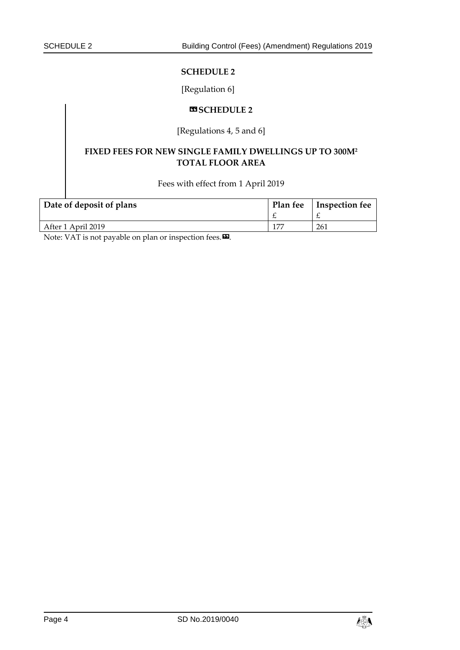#### **SCHEDULE 2**

#### [Regulation 6]

#### **«SCHEDULE 2**

# [Regulations 4, 5 and 6]

# **FIXED FEES FOR NEW SINGLE FAMILY DWELLINGS UP TO 300M<sup>2</sup> TOTAL FLOOR AREA**

Fees with effect from 1 April 2019

| Date of deposit of plans | Plan fee | Inspection fee |
|--------------------------|----------|----------------|
|                          |          |                |
| After 1 April 2019       |          | 261            |

Note: VAT is not payable on plan or inspection fees.<sup>DD</sup>.

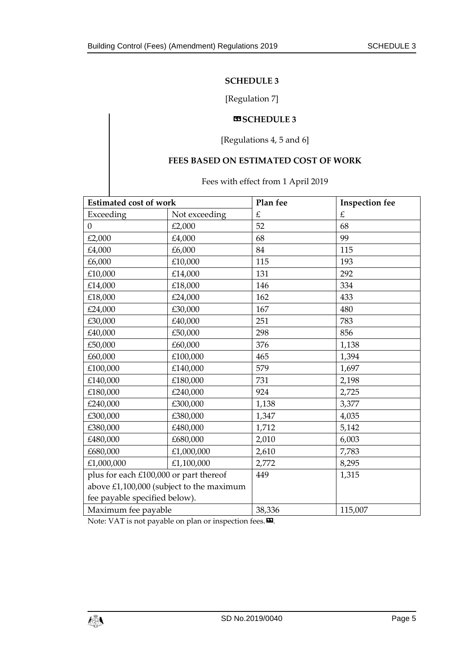#### **SCHEDULE 3**

# [Regulation 7]

#### **«SCHEDULE 3**

# [Regulations 4, 5 and 6]

#### **FEES BASED ON ESTIMATED COST OF WORK**

#### Fees with effect from 1 April 2019

| <b>Estimated cost of work</b>          |                                          | Plan fee | <b>Inspection fee</b> |
|----------------------------------------|------------------------------------------|----------|-----------------------|
| Exceeding                              | Not exceeding                            | £        | $\pounds$             |
| $\Omega$                               | £2,000                                   | 52       | 68                    |
| £2,000                                 | £4,000                                   | 68       | 99                    |
| £4,000                                 | £6,000                                   | 84       | 115                   |
| £6,000                                 | £10,000                                  | 115      | 193                   |
| £10,000                                | £14,000                                  | 131      | 292                   |
| £14,000                                | £18,000                                  | 146      | 334                   |
| £18,000                                | £24,000                                  | 162      | 433                   |
| £24,000                                | £30,000                                  | 167      | 480                   |
| £30,000                                | £40,000                                  | 251      | 783                   |
| £40,000                                | £50,000                                  | 298      | 856                   |
| £50,000                                | £60,000                                  | 376      | 1,138                 |
| £60,000                                | £100,000                                 | 465      | 1,394                 |
| £100,000                               | £140,000                                 | 579      | 1,697                 |
| £140,000                               | £180,000                                 | 731      | 2,198                 |
| £180,000                               | £240,000                                 | 924      | 2,725                 |
| £240,000                               | £300,000                                 | 1,138    | 3,377                 |
| £300,000                               | £380,000                                 | 1,347    | 4,035                 |
| £380,000                               | £480,000                                 | 1,712    | 5,142                 |
| £480,000                               | £680,000                                 | 2,010    | 6,003                 |
| £680,000                               | £1,000,000                               | 2,610    | 7,783                 |
| £1,000,000                             | £1,100,000                               | 2,772    | 8,295                 |
| plus for each £100,000 or part thereof |                                          | 449      | 1,315                 |
|                                        | above £1,100,000 (subject to the maximum |          |                       |
| fee payable specified below).          |                                          |          |                       |
| Maximum fee payable                    |                                          | 38,336   | 115,007               |

Note: VAT is not payable on plan or inspection fees.  $\boldsymbol{\Xi}$ .